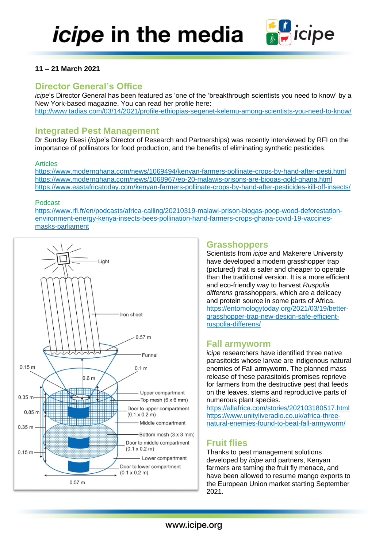

### **11 – 21 March 2021**

## **Director General's Office**

*icipe*'s Director General has been featured as 'one of the 'breakthrough scientists you need to know' by a New York-based magazine. You can read her profile here: <http://www.tadias.com/03/14/2021/profile-ethiopias-segenet-kelemu-among-scientists-you-need-to-know/>

### **Integrated Pest Management**

Dr Sunday Ekesi (*icipe*'s Director of Research and Partnerships) was recently interviewed by RFI on the importance of pollinators for food production, and the benefits of eliminating synthetic pesticides.

#### Articles

<https://www.modernghana.com/news/1069494/kenyan-farmers-pollinate-crops-by-hand-after-pesti.html> <https://www.modernghana.com/news/1068967/ep-20-malawis-prisons-are-biogas-gold-ghana.html> <https://www.eastafricatoday.com/kenyan-farmers-pollinate-crops-by-hand-after-pesticides-kill-off-insects/>

#### Podcast

[https://www.rfi.fr/en/podcasts/africa-calling/20210319-malawi-prison-biogas-poop-wood-deforestation](https://www.rfi.fr/en/podcasts/africa-calling/20210319-malawi-prison-biogas-poop-wood-deforestation-environment-energy-kenya-insects-bees-pollination-hand-farmers-crops-ghana-covid-19-vaccines-masks-parliament)[environment-energy-kenya-insects-bees-pollination-hand-farmers-crops-ghana-covid-19-vaccines](https://www.rfi.fr/en/podcasts/africa-calling/20210319-malawi-prison-biogas-poop-wood-deforestation-environment-energy-kenya-insects-bees-pollination-hand-farmers-crops-ghana-covid-19-vaccines-masks-parliament)[masks-parliament](https://www.rfi.fr/en/podcasts/africa-calling/20210319-malawi-prison-biogas-poop-wood-deforestation-environment-energy-kenya-insects-bees-pollination-hand-farmers-crops-ghana-covid-19-vaccines-masks-parliament)



## **Grasshoppers**

Scientists from *icipe* and Makerere University have developed a modern grasshopper trap (pictured) that is safer and cheaper to operate than the traditional version. It is a more efficient and eco-friendly way to harvest *Ruspolia differens* grasshoppers, which are a delicacy and protein source in some parts of Africa. [https://entomologytoday.org/2021/03/19/better](https://entomologytoday.org/2021/03/19/better-grasshopper-trap-new-design-safe-efficient-ruspolia-differens/)[grasshopper-trap-new-design-safe-efficient](https://entomologytoday.org/2021/03/19/better-grasshopper-trap-new-design-safe-efficient-ruspolia-differens/)[ruspolia-differens/](https://entomologytoday.org/2021/03/19/better-grasshopper-trap-new-design-safe-efficient-ruspolia-differens/)

### **Fall armyworm**

*icipe* researchers have identified three native parasitoids whose larvae are indigenous natural enemies of Fall armyworm. The planned mass release of these parasitoids promises reprieve for farmers from the destructive pest that feeds on the leaves, stems and reproductive parts of numerous plant species.

<https://allafrica.com/stories/202103180517.html> [https://www.unityliveradio.co.uk/africa-three](https://www.unityliveradio.co.uk/africa-three-natural-enemies-found-to-beat-fall-armyworm/)[natural-enemies-found-to-beat-fall-armyworm/](https://www.unityliveradio.co.uk/africa-three-natural-enemies-found-to-beat-fall-armyworm/)

## **Fruit flies**

Thanks to pest management solutions developed by *icipe* and partners, Kenyan farmers are taming the fruit fly menace, and have been allowed to resume mango exports to the European Union market starting September 2021.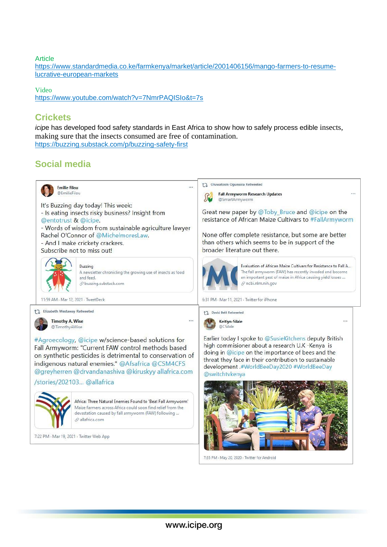#### Article

[https://www.standardmedia.co.ke/farmkenya/market/article/2001406156/mango-farmers-to-resume](https://www.standardmedia.co.ke/farmkenya/market/article/2001406156/mango-farmers-to-resume-lucrative-european-markets)[lucrative-european-markets](https://www.standardmedia.co.ke/farmkenya/market/article/2001406156/mango-farmers-to-resume-lucrative-european-markets)

#### Video

<https://www.youtube.com/watch?v=7NmrPAQISIo&t=7s>

### **Crickets**

*icip*e has developed food safety standards in East Africa to show how to safely process edible insects, making sure that the insects consumed are free of contamination. <https://buzzing.substack.com/p/buzzing-safety-first>

# **Social media**



7:35 PM - May 20, 2020 - Twitter for Android